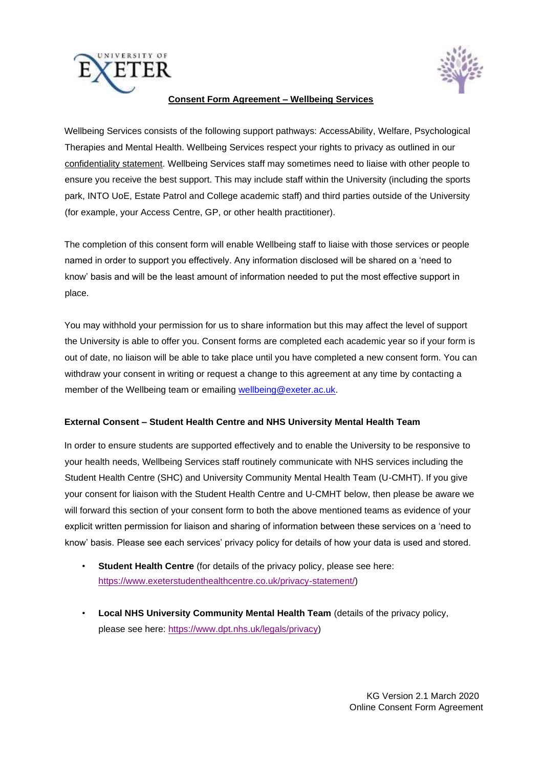



## **Consent Form Agreement – Wellbeing Services**

Wellbeing Services consists of the following support pathways: AccessAbility, Welfare, Psychological Therapies and Mental Health. Wellbeing Services respect your rights to privacy as outlined in our [confidentiality statement.](http://www.exeter.ac.uk/wellbeing/about/policies/) [W](http://www.exeter.ac.uk/wellbeing/about/policies/)ellbeing Services staff may sometimes need to liaise with other people to ensure you receive the best support. This may include staff within the University (including the sports park, INTO UoE, Estate Patrol and College academic staff) and third parties outside of the University (for example, your Access Centre, GP, or other health practitioner).

The completion of this consent form will enable Wellbeing staff to liaise with those services or people named in order to support you effectively. Any information disclosed will be shared on a 'need to know' basis and will be the least amount of information needed to put the most effective support in place.

You may withhold your permission for us to share information but this may affect the level of support the University is able to offer you. Consent forms are completed each academic year so if your form is out of date, no liaison will be able to take place until you have completed a new consent form. You can withdraw your consent in writing or request a change to this agreement at any time by contacting a member of the Wellbeing team or emailing wellbeing@exeter.ac.uk.

## **External Consent – Student Health Centre and NHS University Mental Health Team**

In order to ensure students are supported effectively and to enable the University to be responsive to your health needs, Wellbeing Services staff routinely communicate with NHS services including the Student Health Centre (SHC) and University Community Mental Health Team (U-CMHT). If you give your consent for liaison with the Student Health Centre and U-CMHT below, then please be aware we will forward this section of your consent form to both the above mentioned teams as evidence of your explicit written permission for liaison and sharing of information between these services on a 'need to know' basis. Please see each services' privacy policy for details of how your data is used and stored.

- **Student Health Centre** (for details of the privacy policy, please see here: [https://www.exeterstudenthealthcentre.co.uk/privacy-statement/\)](https://www.exeterstudenthealthcentre.co.uk/privacy-statement/)
- **Local NHS University Community Mental Health Team** (details of the privacy policy, please see here: [https://www.dpt.nhs.uk/legals/privacy\)](https://www.dpt.nhs.uk/legals/privacy)